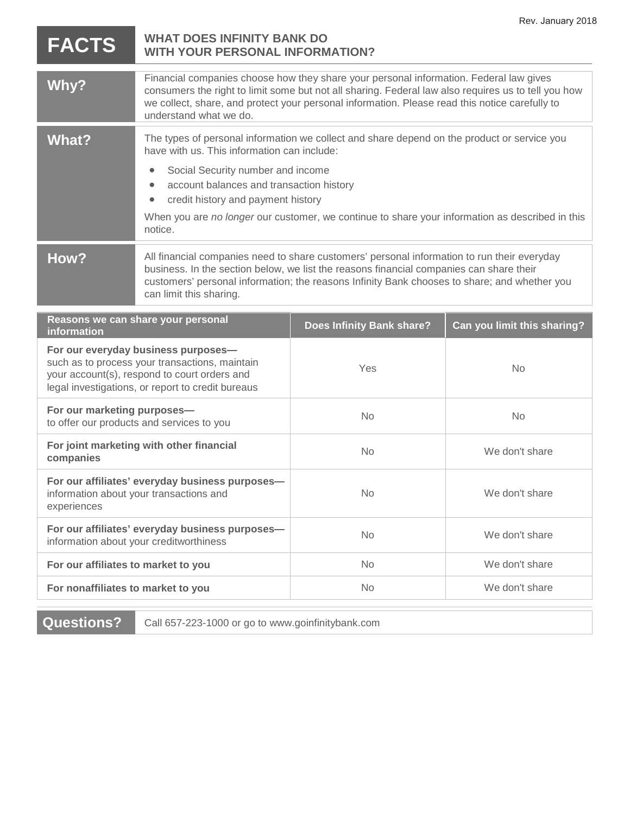|                                                                                                                                                                                            |                                                                                                                                                                                                                                                                                                                           |                                                                                                                                                                                                | Rev. January 2018           |
|--------------------------------------------------------------------------------------------------------------------------------------------------------------------------------------------|---------------------------------------------------------------------------------------------------------------------------------------------------------------------------------------------------------------------------------------------------------------------------------------------------------------------------|------------------------------------------------------------------------------------------------------------------------------------------------------------------------------------------------|-----------------------------|
| <b>FACTS</b>                                                                                                                                                                               | <b>WHAT DOES INFINITY BANK DO</b><br><b>WITH YOUR PERSONAL INFORMATION?</b>                                                                                                                                                                                                                                               |                                                                                                                                                                                                |                             |
| Why?                                                                                                                                                                                       | Financial companies choose how they share your personal information. Federal law gives<br>consumers the right to limit some but not all sharing. Federal law also requires us to tell you how<br>we collect, share, and protect your personal information. Please read this notice carefully to<br>understand what we do. |                                                                                                                                                                                                |                             |
| <b>What?</b>                                                                                                                                                                               | have with us. This information can include:<br>Social Security number and income<br>account balances and transaction history<br>credit history and payment history<br>$\bullet$<br>notice.                                                                                                                                | The types of personal information we collect and share depend on the product or service you<br>When you are no longer our customer, we continue to share your information as described in this |                             |
| How?                                                                                                                                                                                       | All financial companies need to share customers' personal information to run their everyday<br>business. In the section below, we list the reasons financial companies can share their<br>customers' personal information; the reasons Infinity Bank chooses to share; and whether you<br>can limit this sharing.         |                                                                                                                                                                                                |                             |
| information                                                                                                                                                                                | Reasons we can share your personal                                                                                                                                                                                                                                                                                        | <b>Does Infinity Bank share?</b>                                                                                                                                                               | Can you limit this sharing? |
| For our everyday business purposes-<br>such as to process your transactions, maintain<br>your account(s), respond to court orders and<br>legal investigations, or report to credit bureaus |                                                                                                                                                                                                                                                                                                                           |                                                                                                                                                                                                |                             |
|                                                                                                                                                                                            |                                                                                                                                                                                                                                                                                                                           | Yes                                                                                                                                                                                            | <b>No</b>                   |
| For our marketing purposes-                                                                                                                                                                | to offer our products and services to you                                                                                                                                                                                                                                                                                 | <b>No</b>                                                                                                                                                                                      | <b>No</b>                   |
| companies                                                                                                                                                                                  | For joint marketing with other financial                                                                                                                                                                                                                                                                                  | No                                                                                                                                                                                             | We don't share              |
| experiences                                                                                                                                                                                | For our affiliates' everyday business purposes-<br>information about your transactions and                                                                                                                                                                                                                                | <b>No</b>                                                                                                                                                                                      | We don't share              |
|                                                                                                                                                                                            | For our affiliates' everyday business purposes-<br>information about your creditworthiness                                                                                                                                                                                                                                | No                                                                                                                                                                                             | We don't share              |
| For our affiliates to market to you                                                                                                                                                        |                                                                                                                                                                                                                                                                                                                           | No                                                                                                                                                                                             | We don't share              |

**Questions?** Call 657-223-1000 or go to www.goinfinitybank.com